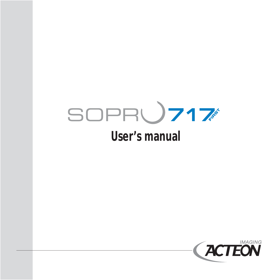# SOPR**U717**

### **User's manual**

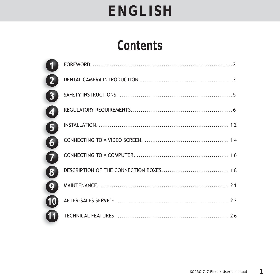### **Contents**

| $\mathbf{1}$            |  |
|-------------------------|--|
| 2                       |  |
| $\overline{\mathbf{3}}$ |  |
| $\overline{\mathbf{4}}$ |  |
| 5                       |  |
| $\overline{\mathbf{b}}$ |  |
| 7                       |  |
| $\overline{\mathbf{3}}$ |  |
| 9                       |  |
| $\boldsymbol{0}$        |  |
| n                       |  |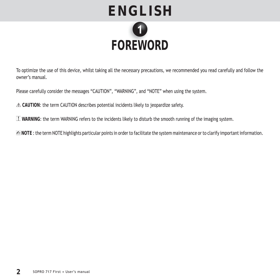

To optimize the use of this device, whilst taking all the necessary precautions, we recommended you read carefully and follow the owner's manual.

Please carefully consider the messages "CAUTION", "WARNING", and "NOTE" when using the system.

 **CAUTION**: the term CAUTION describes potential incidents likely to jeopardize safety.

 **WARNING**: the term WARNING refers to the incidents likely to disturb the smooth running of the imaging system.

 **NOTE** : the term NOTE highlights particular points in order to facilitate the system maintenance or to clarify important information.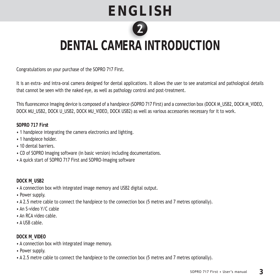

### **DENTAL CAMERA INTRODUCTION RA**

Congratulations on your purchase of the SOPRO 717 First.

It is an extra- and intra-oral camera designed for dental applications. It allows the user to see anatomical and pathological details that cannot be seen with the naked eye, as well as pathology control and post-treatment.

This fluorescence Imaging device is composed of a handpiece (SOPRO 717 First) and a connection box (DOCK M\_USB2, DOCK M\_VIDEO, DOCK MU\_USB2, DOCK U\_USB2, DOCK MU\_VIDEO, DOCK USB2) as well as various accessories necessary for it to work.

**SOPRO 717 First**

- 1 handpiece integrating the camera electronics and lighting.
- 1 handpiece holder.
- 10 dental barriers.
- CD of SOPRO Imaging software (in basic version) including documentations.
- A quick start of SOPRO 717 First and SOPRO-Imaging software

#### **DOCK M\_USB2**

- A connection box with integrated image memory and USB2 digital output.
- Power supply.
- A 2.5 metre cable to connect the handpiece to the connection box (5 metres and 7 metres optionally).
- An S-video Y/C cable
- An RCA video cable.
- A USB cable.

#### **DOCK M\_VIDEO**

- A connection box with integrated image memory.
- Power supply.
- A 2.5 metre cable to connect the handpiece to the connection box (5 metres and 7 metres optionally).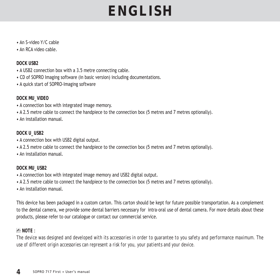- An S-video Y/C cable
- An RCA video cable.

**DOCK USB2**

- A USB2 connection box with a 3.5 metre connecting cable.
- CD of SOPRO Imaging software (in basic version) including documentations.
- A quick start of SOPRO-Imaging software

#### **DOCK MU\_VIDEO**

- A connection box with integrated image memory.
- A 2.5 metre cable to connect the handpiece to the connection box (5 metres and 7 metres optionally).
- An installation manual.

#### **DOCK U\_USB2**

- A connection box with USB2 digital output.
- A 2.5 metre cable to connect the handpiece to the connection box (5 metres and 7 metres optionally).
- An installation manual.

#### **DOCK MU\_USB2**

- A connection box with integrated image memory and USB2 digital output.
- A 2.5 metre cable to connect the handpiece to the connection box (5 metres and 7 metres optionally).
- An installation manual.

This device has been packaged in a custom carton. This carton should be kept for future possible transportation. As a complement to the dental camera, we provide some dental barriers necessary for intra-oral use of dental camera. For more details about these products, please refer to our catalogue or contact our commercial service.

#### **NOTE** :

*The device was designed and developed with its accessories in order to guarantee to you safety and performance maximum. The use of different origin accessories can represent a risk for you, your patients and your device.*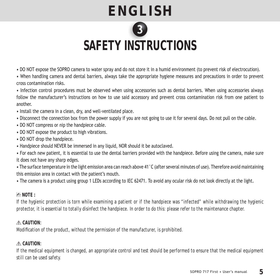

### SAFETY INSTRUCTIONS

- DO NOT expose the SOPRO camera to water spray and do not store it in a humid environment (to prevent risk of electrocution).
- When handling camera and dental barriers, always take the appropriate hygiene measures and precautions in order to prevent cross contamination risks.
- Infection control procedures must be observed when using accessories such as dental barriers. When using accessories always follow the manufacturer's instructions on how to use said accessory and prevent cross contamination risk from one patient to another
- Install the camera in a clean, dry, and well-ventilated place.
- Disconnect the connection box from the power supply if you are not going to use it for several days. Do not pull on the cable.
- DO NOT compress or nip the handpiece cable.
- DO NOT expose the product to high vibrations.
- DO NOT drop the handpiece.
- Handpiece should NEVER be immersed in any liquid, NOR should it be autoclaved.
- For each new patient, it is essential to use the dental barriers provided with the handpiece. Before using the camera, make sure it does not have any sharp edges.
- The surface temperature in the light emission area can reach above 41°C (after several minutes of use). Therefore avoid maintaining this emission area in contact with the patient's mouth.
- The camera is a product using group 1 LEDs according to IEC 62471. To avoid any ocular risk do not look directly at the light.

#### *Z***D NOTE** :

*If the hygienic protection is torn while examining a patient or if the handpiece was "infected" while withdrawing the hygienic protector, it is essential to totally disinfect the handpiece. In order to do this: please refer to the maintenance chapter.* 

#### **CAUTION**:

*Modifi cation of the product, without the permission of the manufacturer, is prohibited.*

#### **CAUTION**:

*If the medical equipment is changed, an appropriate control and test should be performed to ensure that the medical equipment still can be used safety.*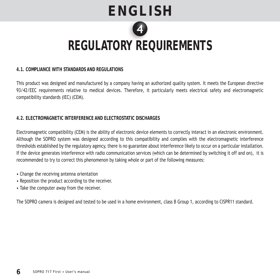# **ENGLISH REGULATORY REQUIREMENTS Y RE**

#### **4.1. COMPLIANCE WITH STANDARDS AND REGULATIONS**

This product was designed and manufactured by a company having an authorized quality system. It meets the European directive 93/42/EEC requirements relative to medical devices. Therefore, it particularly meets electrical safety and electromagnetic compatibility standards (IEC) (CEM).

#### **4.2. ELECTROMAGNETIC INTERFERENCE AND ELECTROSTATIC DISCHARGES**

Electromagnetic compatibility (CEM) is the ability of electronic device elements to correctly interact in an electronic environment. Although the SOPRO system was designed according to this compatibility and complies with the electromagnetic interference thresholds established by the regulatory agency, there is no guarantee about interference likely to occur on a particular installation. If the device generates interference with radio communication services (which can be determined by switching it off and on), it is recommended to try to correct this phenomenon by taking whole or part of the following measures:

- Change the receiving antenna orientation
- Reposition the product according to the receiver.
- Take the computer away from the receiver.

The SOPRO camera is designed and tested to be used in a home environment, class B Group 1, according to CISPR11 standard.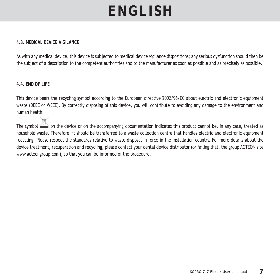#### **4.3. MEDICAL DEVICE VIGILANCE**

As with any medical device, this device is subjected to medical device vigilance dispositions; any serious dysfunction should then be the subject of a description to the competent authorities and to the manufacturer as soon as possible and as precisely as possible.

#### **4.4. END OF LIFE**

This device bears the recycling symbol according to the European directive 2002/96/EC about electric and electronic equipment waste (DEEE or WEEE). By correctly disposing of this device, you will contribute to avoiding any damage to the environment and human health.

The symbol  $\triangle$  on the device or on the accompanying documentation indicates this product cannot be, in any case, treated as household waste. Therefore, it should be transferred to a waste collection centre that handles electric and electronic equipment recycling. Please respect the standards relative to waste disposal in force in the installation country. For more details about the device treatment, recuperation and recycling, please contact your dental device distributor (or failing that, the group ACTEON site www.acteongroup.com), so that you can be informed of the procedure.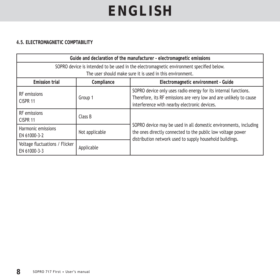#### **4.5. ELECTROMAGNETIC COMPTABILITY**

| Guide and declaration of the manufacturer - electromagnetic emissions                                                                                |                |                                                                                                                                                                                             |  |  |
|------------------------------------------------------------------------------------------------------------------------------------------------------|----------------|---------------------------------------------------------------------------------------------------------------------------------------------------------------------------------------------|--|--|
| SOPRO device is intended to be used in the electromagnetic environment specified below.<br>The user should make sure it is used in this environment. |                |                                                                                                                                                                                             |  |  |
| <b>Emission trial</b><br>Electromagnetic environment - Guide<br>Compliance                                                                           |                |                                                                                                                                                                                             |  |  |
| RF emissions<br>CISPR 11                                                                                                                             | Group 1        | SOPRO device only uses radio energy for its internal functions.<br>Therefore, its RF emissions are very low and are unlikely to cause<br>interference with nearby electronic devices.       |  |  |
| RF emissions<br>CISPR 11                                                                                                                             | Class B        |                                                                                                                                                                                             |  |  |
| Harmonic emissions<br>EN 61000-3-2                                                                                                                   | Not applicable | SOPRO device may be used in all domestic environments, including<br>the ones directly connected to the public low voltage power<br>distribution network used to supply household buildings. |  |  |
| Voltage fluctuations / Flicker<br>EN 61000-3-3                                                                                                       | Applicable     |                                                                                                                                                                                             |  |  |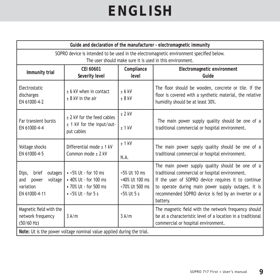| Guide and declaration of the manufacturer - electromagnetic immunity                                                                                 |                                                                                                            |                                                                  |                                                                                                                                                                                                                                                                                     |  |  |
|------------------------------------------------------------------------------------------------------------------------------------------------------|------------------------------------------------------------------------------------------------------------|------------------------------------------------------------------|-------------------------------------------------------------------------------------------------------------------------------------------------------------------------------------------------------------------------------------------------------------------------------------|--|--|
| SOPRO device is intended to be used in the electromagnetic environment specified below.<br>The user should make sure it is used in this environment. |                                                                                                            |                                                                  |                                                                                                                                                                                                                                                                                     |  |  |
|                                                                                                                                                      |                                                                                                            |                                                                  |                                                                                                                                                                                                                                                                                     |  |  |
| Immunity trial                                                                                                                                       | CEI 60601<br>Severity level                                                                                | Compliance<br>level                                              | Electromagnetic environment<br>Guide                                                                                                                                                                                                                                                |  |  |
| Electrostatic<br>discharges<br>EN 61000-4-2                                                                                                          | $± 6$ kV when in contact<br>$± 8$ kV in the air                                                            | $+6$ kV<br>$± 8$ kV                                              | The floor should be wooden, concrete or tile. If the<br>floor is covered with a synthetic material, the relative<br>humidity should be at least 30%.                                                                                                                                |  |  |
| Far transient bursts<br>EN 61000-4-4                                                                                                                 | ± 2 kV for the feed cables<br>± 1 kV for the input/out-<br>put cables                                      | $± 2$ kV<br>$± 1$ kV                                             | The main power supply quality should be one of a<br>traditional commercial or hospital environment.                                                                                                                                                                                 |  |  |
| Voltage shocks<br>EN 61000-4-5                                                                                                                       | Differential mode + 1 kV<br>Common mode $\pm$ 2 kV                                                         | $± 1$ kV<br>N.A.                                                 | The main power supply quality should be one of a<br>traditional commercial or hospital environment.                                                                                                                                                                                 |  |  |
| outages<br>Dips,<br>brief<br>voltage<br>and<br>power<br>variation<br>EN 61000-4-11                                                                   | $\cdot$ <5% Ut - for 10 ms<br>• 40% Ut - for 100 ms<br>• 70% Ut - for 500 ms<br>$\bullet$ <5% Ut - for 5 s | <5% Ut 10 ms<br><40% Ut 100 ms<br><70% Ut 500 ms<br>$5\%$ Ut 5 s | The main power supply quality should be one of a<br>traditional commercial or hospital environment.<br>If the user of SOPRO device requires it to continue<br>to operate during main power supply outages, it is<br>recommended SOPRO device is fed by an inverter or a<br>battery. |  |  |
| Magnetic field with the<br>network frequency<br>(50/60 Hz)                                                                                           | 3A/m                                                                                                       | 3A/m                                                             | The magnetic field with the network frequency should<br>be at a characteristic level of a location in a traditional<br>commercial or hospital environment.                                                                                                                          |  |  |
| Note: Ut is the power voltage nominal value applied during the trial.                                                                                |                                                                                                            |                                                                  |                                                                                                                                                                                                                                                                                     |  |  |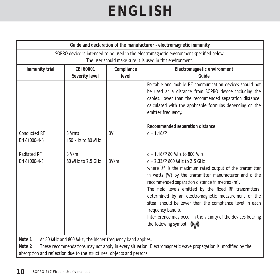|                                     | Guide and declaration of the manufacturer - electromagnetic immunity                    |            |                                                                                                                                                                                                                                                                                                                                                                                                                                                                                                                                              |  |  |  |
|-------------------------------------|-----------------------------------------------------------------------------------------|------------|----------------------------------------------------------------------------------------------------------------------------------------------------------------------------------------------------------------------------------------------------------------------------------------------------------------------------------------------------------------------------------------------------------------------------------------------------------------------------------------------------------------------------------------------|--|--|--|
|                                     | SOPRO device is intended to be used in the electromagnetic environment specified below. |            |                                                                                                                                                                                                                                                                                                                                                                                                                                                                                                                                              |  |  |  |
|                                     |                                                                                         |            | The user should make sure it is used in this environment.                                                                                                                                                                                                                                                                                                                                                                                                                                                                                    |  |  |  |
| Immunity trial                      | CEI 60601                                                                               | Compliance | Electromagnetic environment                                                                                                                                                                                                                                                                                                                                                                                                                                                                                                                  |  |  |  |
|                                     | Severity level                                                                          | level      | Guide                                                                                                                                                                                                                                                                                                                                                                                                                                                                                                                                        |  |  |  |
| <b>Conducted RF</b><br>EN 61000-4-6 | 3 Vrms<br>150 kHz to 80 MHz                                                             | 3V         | Portable and mobile RF communication devices should not<br>be used at a distance from SOPRO device including the<br>cables, lower than the recommended separation distance,<br>calculated with the applicable formulas depending on the<br>emitter frequency.<br>Recommended separation distance<br>$d = 1.16/P$                                                                                                                                                                                                                             |  |  |  |
|                                     |                                                                                         |            |                                                                                                                                                                                                                                                                                                                                                                                                                                                                                                                                              |  |  |  |
| Radiated RF<br>EN 61000-4-3         | 3 V/m<br>80 MHz to 2,5 GHz                                                              | 3V/m       | $d = 1.16$ /P 80 MHz to 800 MHz<br>$d = 2.33/P 800$ MHz to 2.5 GHz<br>where $P$ is the maximum rated output of the transmitter<br>in watts (W) by the transmitter manufacturer and d the<br>recommended separation distance in metres (m).<br>The field levels emitted by the fixed RF transmitters,<br>determined by an electromagnetic measurement of the<br>sitea, should be lower than the compliance level in each<br>frequency band b.<br>Interference may occur in the vicinity of the devices bearing<br>the following symbol: ((a)) |  |  |  |

**Note 1 :** At 80 MHz and 800 MHz, the higher frequency band applies.

Note 2 : These recommendations may not apply in every situation. Electromagnetic wave propagation is modified by the absorption and reflection due to the structures, objects and persons.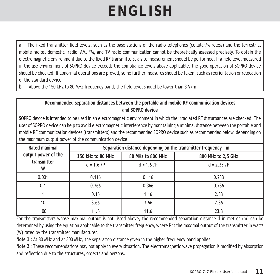a The fixed transmitter field levels, such as the base stations of the radio telephones (cellular/wireless) and the terrestrial mobile radios, domestic radio, AM, FM, and TV radio communication cannot be theoretically assessed precisely. To obtain the electromagnetic environment due to the fixed RF transmitters, a site measurement should be performed. If a field level measured in the use environment of SOPRO device exceeds the compliance levels above applicable, the good operation of SOPRO device should be checked. If abnormal operations are proved, some further measures should be taken, such as reorientation or relocation of the standard device.

b Above the 150 kHz to 80 MHz frequency band, the field level should be lower than 3 V/m.

| Recommended separation distances between the portable and mobile RF communication devices<br>and SOPRO device                                                                                                                                                                                                                                                                                                                                        |                                                                |                      |                    |  |  |  |
|------------------------------------------------------------------------------------------------------------------------------------------------------------------------------------------------------------------------------------------------------------------------------------------------------------------------------------------------------------------------------------------------------------------------------------------------------|----------------------------------------------------------------|----------------------|--------------------|--|--|--|
| SOPRO device is intended to be used in an electromagnetic environment in which the irradiated RF disturbances are checked. The<br>user of SOPRO device can help to avoid electromagnetic interference by maintaining a minimal distance between the portable and<br>mobile RF communication devices (transmitters) and the recommended SOPRO device such as recommended below, depending on<br>the maximum output power of the communication device. |                                                                |                      |                    |  |  |  |
| Rated maximal                                                                                                                                                                                                                                                                                                                                                                                                                                        | Separation distance depending on the transmitter frequency - m |                      |                    |  |  |  |
| output power of the                                                                                                                                                                                                                                                                                                                                                                                                                                  | 150 kHz to 80 MHz                                              | 80 MHz to 800 MHz    | 800 MHz to 2,5 GHz |  |  |  |
| transmitter<br>W                                                                                                                                                                                                                                                                                                                                                                                                                                     | $d = 1.6$ $\sqrt{P}$                                           | $d = 1.6$ $\sqrt{P}$ | $d = 2.33$ $IP$    |  |  |  |
| 0.001                                                                                                                                                                                                                                                                                                                                                                                                                                                | 0.116                                                          | 0.116                | 0.233              |  |  |  |
| 0.1                                                                                                                                                                                                                                                                                                                                                                                                                                                  | 0.366                                                          | 0.366                | 0.736              |  |  |  |
|                                                                                                                                                                                                                                                                                                                                                                                                                                                      | 0.16                                                           | 1.16                 | 2.33               |  |  |  |
| 10                                                                                                                                                                                                                                                                                                                                                                                                                                                   | 3.66                                                           | 3.66                 | 7.36               |  |  |  |
| 100                                                                                                                                                                                                                                                                                                                                                                                                                                                  | 11.6                                                           | 11.6                 | 23.3               |  |  |  |

For the transmitters whose maximal output is not listed above, the recommended separation distance d in metres (m) can be determined by using the equation applicable to the transmitter frequency, where P is the maximal output of the transmitter in watts (W) rated by the transmitter manufacturer.

**Note 1** : At 80 MHz and at 800 MHz, the separation distance given in the higher frequency band applies.

**Note 2** : These recommendations may not apply in every situation. The electromagnetic wave propagation is modified by absorption and reflection due to the structures, objects and persons.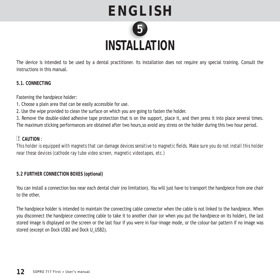

The device is intended to be used by a dental practitioner. Its installation does not require any special training. Consult the instructions in this manual.

**5.1. CONNECTING**

Fastening the handpiece holder:

- 1. Choose a plain area that can be easily accessible for use.
- 2. Use the wipe provided to clean the surface on which you are going to fasten the holder.

3. Remove the double-sided adhesive tape protection that is on the support, place it, and then press it into place several times. The maximum sticking performances are obtained after two hours,so avoid any stress on the holder during this two hour period.

#### **CAUTION** :

*This holder is equipped with magnets that can damage devices sensitive to magnetic fi elds. Make sure you do not install this holder near these devices (cathode ray tube video screen, magnetic videotapes, etc.)*

#### **5.2 FURTHER CONNECTION BOXES (optional)**

You can install a connection box near each dental chair (no limitation). You will just have to transport the handpiece from one chair to the other.

The handpiece holder is intended to maintain the connecting cable connector when the cable is not linked to the handpiece. When you disconnect the handpiece connecting cable to take it to another chair (or when you put the handpiece on its holder), the last stored image is displayed on the screen or the last four if you were in four-image mode, or the colour-bar pattern if no image was stored (except on Dock USB2 and Dock U\_USB2).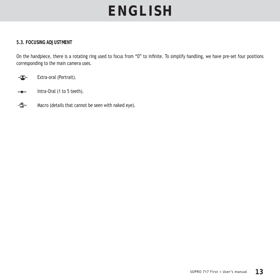#### **5.3. FOCUSING ADJUSTMENT**

On the handpiece, there is a rotating ring used to focus from "0" to infinite. To simplify handling, we have pre-set four positions corresponding to the main camera uses.

Extra-oral (Portrait).

- **Intra-Oral (1 to 5 teeth).**
- - $\bigcirc$  Macro (details that cannot be seen with naked eye).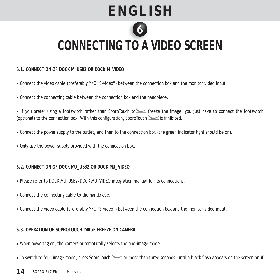

### **CONNECTING TO A VIDEO SCREEN TO A**

**6.1. CONNECTION OF DOCK M\_USB2 OR DOCK M\_VIDEO** 

- Connect the video cable (preferably Y/C "S-video") between the connection box and the monitor video input
- Connect the connecting cable between the connection box and the handpiece.

• If you prefer using a footswitch rather than SoproTouch to freeze the image, you just have to connect the footswitch (optional) to the connection box. With this configuration, SoproTouch  $\leq$  is inhibited.

- Connect the power supply to the outlet, and then to the connection box (the green indicator light should be on).
- Only use the power supply provided with the connection box.

#### **6.2. CONNECTION OF DOCK MU\_USB2 OR DOCK MU\_VIDEO**

- Please refer to DOCK MU\_USB2/DOCK MU\_VIDEO integration manual for its connections.
- Connect the connecting cable to the handpiece.
- Connect the video cable (preferably Y/C "S-video") between the connection box and the monitor video input.

#### **6.3. OPERATION OF SOPROTOUCH IMAGE FREEZE ON CAMERA**

- When powering on, the camera automatically selects the one-image mode.
- To switch to four-image mode, press SoproTouch some than three seconds (until a black flash appears on the screen or, if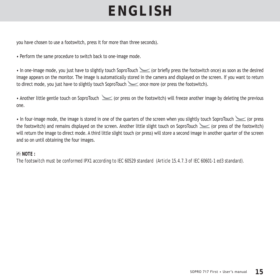you have chosen to use a footswitch, press it for more than three seconds).

• Perform the same procedure to switch back to one-image mode.

• In one-image mode, you just have to slightly touch SoproTouch  $\leq$  (or briefly press the footswitch once) as soon as the desired image appears on the monitor. The image is automatically stored in the camera and displayed on the screen. If you want to return to direct mode, you just have to slightly touch SoproTouch  $\leq$  once more (or press the footswitch).

• Another little gentle touch on SoproTouch  $\leq$  (or press on the footswitch) will freeze another image by deleting the previous one.

• In four-image mode, the image is stored in one of the quarters of the screen when you slightly touch SoproTouch  $\leq$  (or press the footswitch) and remains displayed on the screen. Another little slight touch on SoproTouch (or press of the footswitch) will return the image to direct mode. A third little slight touch (or press) will store a second image in another quarter of the screen and so on until obtaining the four images.

#### **NOTE :**

*The footswitch must be conformed IPX1 according to IEC 60529 standard (Article 15.4.7.3 of IEC 60601-1 ed3 standard).*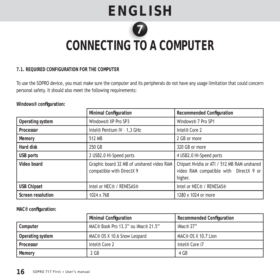

### $\blacksquare$  CONNECTING TO A COMPUTER

#### **7.1. REQUIRED CONFIGURATION FOR THE COMPUTER**

To use the SOPRO device, you must make sure the computer and its peripherals do not have any usage limitation that could concern personal safety. It should also meet the following requirements:

Windows<sup>®</sup> configuration:

|                    | <b>Minimal Configuration</b>                                           | Recommended Configuration                                                                        |  |
|--------------------|------------------------------------------------------------------------|--------------------------------------------------------------------------------------------------|--|
| Operating system   | Windows® XP Pro SP3                                                    | Windows® 7 Pro SP1                                                                               |  |
| Processor          | Intel® Pentium IV - 1,3 GHz                                            | Intel® Core 2                                                                                    |  |
| Memory             | 512 MB                                                                 | 2 GB or more                                                                                     |  |
| Hard disk          | 250 GB                                                                 | 320 GB or more                                                                                   |  |
| USB ports          | 2 USB2.0 Hi-Speed ports                                                | 4 USB2.0 Hi-Speed ports                                                                          |  |
| Video board        | Graphic board 32 MB of unshared video RAM<br>compatible with DirectX 9 | Chipset Nvidia or ATI / 512 MB RAM unshared<br>video RAM compatible with DirectX 9 or<br>higher. |  |
| <b>USB Chipset</b> | Intel or NEC® / RENESAS®                                               | Intel or NEC® / RENESAS®                                                                         |  |
| Screen resolution  | 1024 x 768                                                             | 1280 x 1024 or more                                                                              |  |

**MAC® confi guration:**

|                  | <b>Minimal Configuration</b>       | <b>Recommended Configuration</b> |  |
|------------------|------------------------------------|----------------------------------|--|
| Computer         | MAC® Book Pro 13.3" ou iMac® 21.5" | iMac $@$ 27"                     |  |
| Operating system | MAC® OS X 10.6 Snow Leopard        | MAC® OS X 10.7 Lion              |  |
| Processor        | Intel® Core 2                      | Intel® Core i7                   |  |
| Memory           | 2 GB                               | 4 GB                             |  |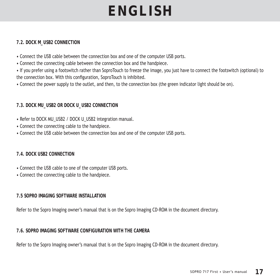#### **7.2. DOCK M\_USB2 CONNECTION**

- Connect the USB cable between the connection box and one of the computer USB ports.
- Connect the connecting cable between the connection box and the handpiece.
- If you prefer using a footswitch rather than SoproTouch to freeze the image, you just have to connect the footswitch (optional) to the connection box. With this configuration, SoproTouch is inhibited.
- Connect the power supply to the outlet, and then, to the connection box (the green indicator light should be on).

#### **7.3. DOCK MU\_USB2 OR DOCK U\_USB2 CONNECTION**

- Refer to DOCK MU\_USB2 / DOCK U\_USB2 integration manual.
- Connect the connecting cable to the handpiece.
- Connect the USB cable between the connection box and one of the computer USB ports.

#### **7.4. DOCK USB2 CONNECTION**

- Connect the USB cable to one of the computer USB ports.
- Connect the connecting cable to the handpiece.

#### **7.5 SOPRO IMAGING SOFTWARE INSTALLATION**

Refer to the Sopro Imaging owner's manual that is on the Sopro Imaging CD-ROM in the document directory.

#### **7.6. SOPRO IMAGING SOFTWARE CONFIGURATION WITH THE CAMERA**

Refer to the Sopro Imaging owner's manual that is on the Sopro Imaging CD-ROM in the document directory.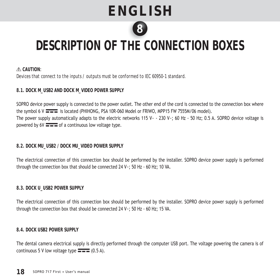

### **DESCRIPTION OF THE CONNECTION BOXES C**

#### **CAUTION**:

*Devices that connect to the inputs / outputs must be conformed to IEC 60950-1 standard.*

#### **8.1. DOCK M\_USB2 AND DOCK M\_VIDEO POWER SUPPLY**

SOPRO device power supply is connected to the power outlet. The other end of the cord is connected to the connection box where the symbol  $6 \text{ V}$   $\equiv$   $\equiv$  is located (PHIHONG, PSA 10R-060 Model or FRIWO, MPP15 FW 7555M/06 model). The power supply automatically adapts to the electric networks 115 V $\sim$  - 230 V $\sim$ ; 60 Hz - 50 Hz; 0.5 A. SOPRO device voltage is powered by  $6V = -$  of a continuous low voltage type.

#### **8.2. DOCK MU\_USB2 / DOCK MU\_VIDEO POWER SUPPLY**

The electrical connection of this connection box should be performed by the installer. SOPRO device power supply is performed through the connection box that should be connected 24 V~; 50 Hz - 60 Hz; 10 VA.

#### **8.3. DOCK U\_USB2 POWER SUPPLY**

The electrical connection of this connection box should be performed by the installer. SOPRO device power supply is performed through the connection box that should be connected 24 V~; 50 Hz - 60 Hz; 15 VA.

#### **8.4. DOCK USB2 POWER SUPPLY**

The dental camera electrical supply is directly performed through the computer USB port. The voltage powering the camera is of continuous 5 V low voltage type  $\equiv$   $\equiv$  (0.5 A).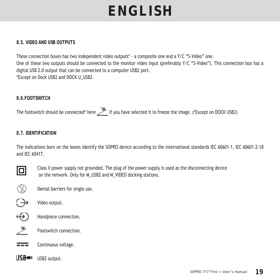#### **8.5. VIDEO AND USB OUTPUTS**

These connection boxes has two independent video outputs\* - a composite one and a Y/C "S-Video" one. One of these two outputs should be connected to the monitor video input (preferably Y/C "S-Video"). This connection box has a digital USB 2.0 output that can be connected to a computer USB2 port. \*Except on Dock USB2 and DOCK U\_USB2.

#### **8.6.FOOTSWITCH**

The footswitch should be connected\* here if you have selected it to freeze the image. (\*Except on DOCK USB2)

#### **8.7. IDENTIFICATION**

The indications born on the boxes identify the SOPRO device according to the international standards IEC 60601-1, IEC 60601-2-18 and IEC 60417.



Class II power supply not grounded. The plug of the power supply is used as the disconnecting device on the network. Only for M\_USB2 and M\_VIDEO docking stations.

 $\circledS$ Dental barriers for single use.



- 
- ← Handpiece connection.



**EXECUTE:** Continuous voltage.

USB<sup>es</sup> USB2 output.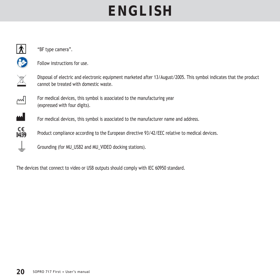|              | "BF type camera".                                                                                                                                             |
|--------------|---------------------------------------------------------------------------------------------------------------------------------------------------------------|
|              | Follow instructions for use.                                                                                                                                  |
|              | Disposal of electric and electronic equipment marketed after 13/August/2005. This symbol indicates that the product<br>cannot be treated with domestic waste. |
| M            | For medical devices, this symbol is associated to the manufacturing year<br>(expressed with four digits).                                                     |
| $\mathbf{M}$ | For medical devices, this symbol is associated to the manufacturer name and address.                                                                          |
| C€<br>0459   | Product compliance according to the European directive 93/42/EEC relative to medical devices.                                                                 |
|              | Grounding (for MU USB2 and MU VIDEO docking stations).                                                                                                        |
|              |                                                                                                                                                               |

The devices that connect to video or USB outputs should comply with IEC 60950 standard.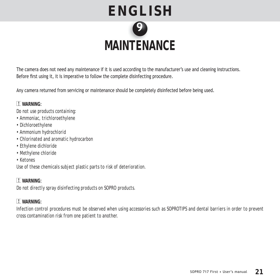

The camera does not need any maintenance if it is used according to the manufacturer's use and cleaning instructions. Before first using it, it is imperative to follow the complete disinfecting procedure.

Any camera returned from servicing or maintenance should be completely disinfected before being used.

#### **WARNING**:

*Do not use products containing:*

- *Ammoniac, trichloroethylene*
- *Dichloroethylene*
- *Ammonium hydrochlorid*
- *Chlorinated and aromatic hydrocarbon*
- *Ethylene dichloride*
- *Methylene chloride*
- *Ketones*

*Use of these chemicals subject plastic parts to risk of deterioration.*

 **WARNING**: *Do not directly spray disinfecting products on SOPRO products.*

#### **WARNING**:

*Infection control procedures must be observed when using accessories such as SOPROTIPS and dental barriers in order to prevent cross contamination risk from one patient to another.*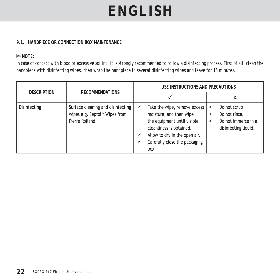#### **9.1. HANDPIECE OR CONNECTION BOX MAINTENANCE**

#### **NOTE:**

*In case of contact with blood or excessive soiling, it is strongly recommended to follow a disinfecting process. First of all, clean the handpiece with disinfecting wipes, then wrap the handpiece in several disinfecting wipes and leave for 15 minutes.* 

|                    |                                                                                                   |  | USE INSTRUCTIONS AND PRECAUTIONS                                                                                                                                                             |                                     |                                                                              |
|--------------------|---------------------------------------------------------------------------------------------------|--|----------------------------------------------------------------------------------------------------------------------------------------------------------------------------------------------|-------------------------------------|------------------------------------------------------------------------------|
| <b>DESCRIPTION</b> | <b>RECOMMENDATIONS</b>                                                                            |  |                                                                                                                                                                                              |                                     | х                                                                            |
| Disinfecting       | Surface cleaning and disinfecting<br>wipes e.g. Septol <sup>™</sup> Wipes from<br>Pierre Rolland. |  | Take the wipe, remove excess<br>moisture, and then wipe<br>the equipment until visible<br>cleanliness is obtained.<br>Allow to dry in the open air.<br>Carefully close the packaging<br>box. | ×<br>×<br>$\boldsymbol{\mathsf{x}}$ | Do not scrub<br>Do not rinse.<br>Do not immerse in a<br>disinfecting liquid. |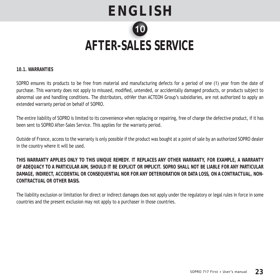

**10.1. WARRANTIES**

SOPRO ensures its products to be free from material and manufacturing defects for a period of one (1) year from the date of purchase. This warranty does not apply to misused, modified, untended, or accidentally damaged products, or products subject to abnormal use and handling conditions. The distributors, othVer than ACTEON Group's subsidiaries, are not authorized to apply an extended warranty period on behalf of SOPRO.

The entire liability of SOPRO is limited to its convenience when replacing or repairing, free of charge the defective product, if it has been sent to SOPRO After-Sales Service. This applies for the warranty period.

Outside of France, access to the warranty is only possible if the product was bought at a point of sale by an authorized SOPRO dealer in the country where it will be used.

**THIS WARRANTY APPLIES ONLY TO THIS UNIQUE REMEDY. IT REPLACES ANY OTHER WARRANTY, FOR EXAMPLE, A WARRANTY OF ADEQUACY TO A PARTICULAR AIM, SHOULD IT BE EXPLICIT OR IMPLICIT. SOPRO SHALL NOT BE LIABLE FOR ANY PARTICULAR DAMAGE, INDIRECT, ACCIDENTAL OR CONSEQUENTIAL NOR FOR ANY DETERIORATION OR DATA LOSS, ON A CONTRACTUAL, NON-CONTRACTUAL OR OTHER BASIS.** 

The liability exclusion or limitation for direct or indirect damages does not apply under the regulatory or legal rules in force in some countries and the present exclusion may not apply to a purchaser in those countries.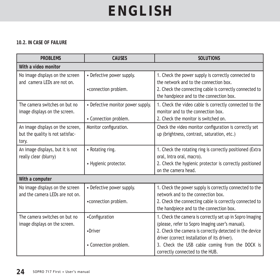#### **10.2. IN CASE OF FAILURE**

| <b>PROBLEMS</b>                                                               | <b>CAUSES</b>                                              | <b>SOLUTIONS</b>                                                                                                                                                                                                                                                                                            |  |  |  |  |
|-------------------------------------------------------------------------------|------------------------------------------------------------|-------------------------------------------------------------------------------------------------------------------------------------------------------------------------------------------------------------------------------------------------------------------------------------------------------------|--|--|--|--|
| With a video monitor                                                          |                                                            |                                                                                                                                                                                                                                                                                                             |  |  |  |  |
| No image displays on the screen<br>and camera LEDs are not on.                | • Defective power supply.<br>• connection problem.         | 1. Check the power supply is correctly connected to<br>the network and to the connection box.<br>2. Check the connecting cable is correctly connected to<br>the handpiece and to the connection box.                                                                                                        |  |  |  |  |
| The camera switches on but no<br>image displays on the screen.                | • Defective monitor power supply.<br>• Connection problem. | 1. Check the video cable is correctly connected to the<br>monitor and to the connection box.<br>2. Check the monitor is switched on.                                                                                                                                                                        |  |  |  |  |
| An image displays on the screen,<br>but the quality is not satisfac-<br>tory. | Monitor configuration.                                     | Check the video monitor configuration is correctly set<br>up (brightness, contrast, saturation, etc.)                                                                                                                                                                                                       |  |  |  |  |
| An image displays, but it is not<br>really clear (blurry)                     | • Rotating ring.<br>• Hygienic protector.                  | 1. Check the rotating ring is correctly positioned (Extra<br>oral, Intra oral, macro).<br>2. Check the hygienic protector is correctly positioned<br>on the camera head.                                                                                                                                    |  |  |  |  |
| With a computer                                                               |                                                            |                                                                                                                                                                                                                                                                                                             |  |  |  |  |
| No image displays on the screen<br>and the camera LEDs are not on.            | • Defective power supply.<br>• connection problem.         | 1. Check the power supply is correctly connected to the<br>network and to the connection box.<br>2. Check the connecting cable is correctly connected to<br>the handpiece and to the connection box.                                                                                                        |  |  |  |  |
| The camera switches on but no<br>image displays on the screen.                | •Configuration<br>•Driver<br>• Connection problem.         | 1. Check the camera is correctly set up in Sopro Imaging<br>(please, refer to Sopro Imaging user's manual).<br>2. Check the camera is correctly detected in the device<br>driver (correct installation of its driver).<br>3. Check the USB cable coming from the DOCK is<br>correctly connected to the HUB. |  |  |  |  |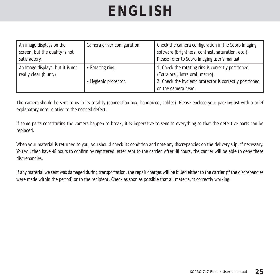| An image displays on the<br>screen, but the quality is not<br>satisfactory. | Camera driver configuration             | Check the camera configuration in the Sopro Imaging<br>software (brightness, contrast, saturation, etc.).<br>Please refer to Sopro Imaging user's manual.                |
|-----------------------------------------------------------------------------|-----------------------------------------|--------------------------------------------------------------------------------------------------------------------------------------------------------------------------|
| An image displays, but it is not<br>really clear (blurry)                   | Rotating ring.<br>• Hygienic protector. | 1. Check the rotating ring is correctly positioned<br>(Extra oral, Intra oral, macro).<br>2. Check the hygienic protector is correctly positioned<br>on the camera head. |

The camera should be sent to us in its totality (connection box, handpiece, cables). Please enclose your packing list with a brief explanatory note relative to the noticed defect.

If some parts constituting the camera happen to break, it is imperative to send in everything so that the defective parts can be replaced.

When your material is returned to you, you should check its condition and note any discrepancies on the delivery slip, if necessary. You will then have 48 hours to confirm by registered letter sent to the carrier. After 48 hours, the carrier will be able to deny these discrepancies.

If any material we sent was damaged during transportation, the repair charges will be billed either to the carrier (if the discrepancies were made within the period) or to the recipient. Check as soon as possible that all material is correctly working.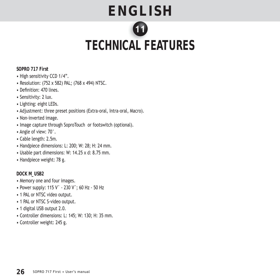# **ENGLISH TECHNICAL FEATURES CAL F**

**SOPRO 717 First**

- High sensitivity CCD 1/4".
- Resolution: (752 x 582) PAL; (768 x 494) NTSC.
- Definition: 470 lines
- Sensitivity: 2 lux.
- Lighting: eight LEDs.
- Adjustment: three preset positions (Extra-oral, Intra-oral, Macro).
- Non-inverted image.
- Image capture through SoproTouch or footswitch (optional).
- Angle of view: 70°.
- Cable length: 2.5m.
- Handpiece dimensions: L: 200; W: 28; H: 24 mm.
- Usable part dimensions: W: 14.25 x d: 8.75 mm.
- Handpiece weight: 78 g.

**DOCK M\_USB2**

- Memory one and four images.
- Power supply: 115 V˜ 230 V˜; 60 Hz 50 Hz
- 1 PAL or NTSC video output.
- 1 PAL or NTSC S-video output.
- 1 digital USB output 2.0.
- Controller dimensions: L: 145; W: 130; H: 35 mm.
- Controller weight: 245 g.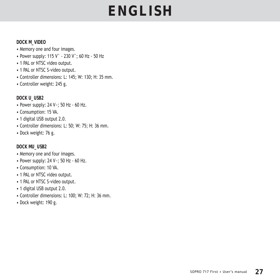#### **DOCK M\_VIDEO**

- Memory one and four images.
- Power supply: 115 V˜ 230 V˜; 60 Hz 50 Hz
- 1 PAL or NTSC video output.
- 1 PAL or NTSC S-video output.
- Controller dimensions: L: 145; W: 130; H: 35 mm.
- Controller weight: 245 g.

#### **DOCK U\_USB2**

- Power supply: 24 V~; 50 Hz 60 Hz.
- Consumption: 15 VA.
- 1 digital USB output 2.0.
- Controller dimensions: L: 50; W: 75; H: 36 mm.
- Dock weight: 76 g.

#### **DOCK MU\_USB2**

- Memory one and four images.
- Power supply: 24 V~; 50 Hz 60 Hz.
- Consumption: 10 VA.
- 1 PAL or NTSC video output.
- 1 PAL or NTSC S-video output.
- 1 digital USB output 2.0.
- Controller dimensions: L: 100; W: 72; H: 36 mm.
- Dock weight: 190 g.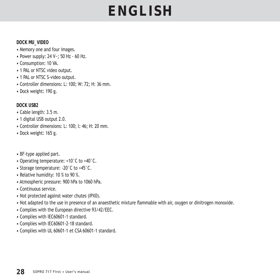#### **DOCK MU\_VIDEO**

- Memory one and four images.
- Power supply: 24 V~; 50 Hz 60 Hz.
- Consumption: 10 VA.
- 1 PAL or NTSC video output.
- 1 PAL or NTSC S-video output.
- Controller dimensions: L: 100; W: 72; H: 36 mm.
- Dock weight: 190 g.

#### **DOCK USB2**

- Cable length: 3.5 m.
- 1 digital USB output 2.0.
- Controller dimensions: L: 100; l: 46; H: 20 mm.
- Dock weight: 165 g.
- BF-type applied part.
- Operating temperature: +10°C to +40°C.
- Storage temperature: -20°C to +45°C.
- Relative humidity: 10 % to 90 %.
- Atmospheric pressure: 900 hPa to 1060 hPa.
- Continuous service.
- Not protected against water chutes (IPX0).
- Not adapted to the use in presence of an anaesthetic mixture flammable with air, oxygen or dinitrogen monoxide.
- Complies with the European directive 93/42/EEC.
- Complies with IEC60601-1 standard.
- Complies with IEC60601-2-18 standard.
- Complies with UL 60601-1 et CSA 60601-1 standard.